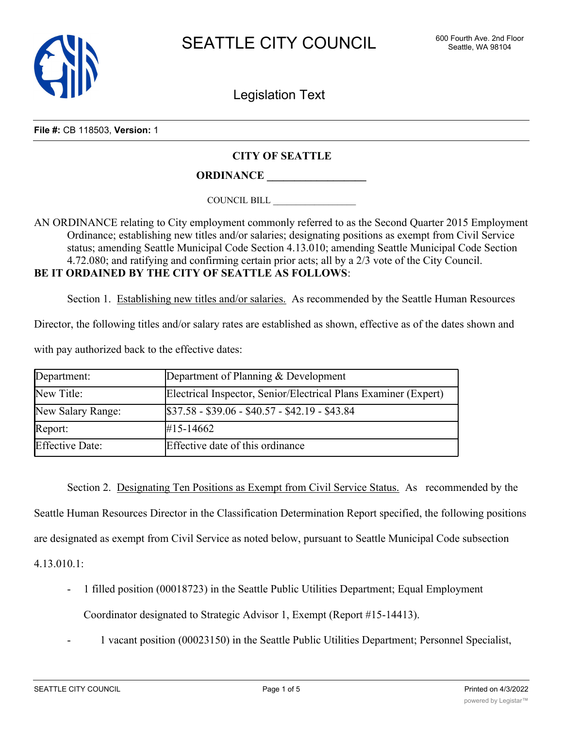

Legislation Text

**File #:** CB 118503, **Version:** 1

## **CITY OF SEATTLE**

**ORDINANCE \_\_\_\_\_\_\_\_\_\_\_\_\_\_\_\_\_\_**

COUNCIL BILL \_\_\_\_\_\_\_\_\_\_\_\_\_\_\_\_\_\_

AN ORDINANCE relating to City employment commonly referred to as the Second Quarter 2015 Employment Ordinance; establishing new titles and/or salaries; designating positions as exempt from Civil Service status; amending Seattle Municipal Code Section 4.13.010; amending Seattle Municipal Code Section 4.72.080; and ratifying and confirming certain prior acts; all by a 2/3 vote of the City Council. **BE IT ORDAINED BY THE CITY OF SEATTLE AS FOLLOWS**:

Section 1. Establishing new titles and/or salaries. As recommended by the Seattle Human Resources

Director, the following titles and/or salary rates are established as shown, effective as of the dates shown and

with pay authorized back to the effective dates:

| Department:            | Department of Planning & Development                            |
|------------------------|-----------------------------------------------------------------|
| New Title:             | Electrical Inspector, Senior/Electrical Plans Examiner (Expert) |
| New Salary Range:      | $$37.58 - $39.06 - $40.57 - $42.19 - $43.84$                    |
| Report:                | #15-14662                                                       |
| <b>Effective Date:</b> | Effective date of this ordinance                                |

Section 2. Designating Ten Positions as Exempt from Civil Service Status. As recommended by the Seattle Human Resources Director in the Classification Determination Report specified, the following positions are designated as exempt from Civil Service as noted below, pursuant to Seattle Municipal Code subsection 4.13.010.1:

- 1 filled position (00018723) in the Seattle Public Utilities Department; Equal Employment Coordinator designated to Strategic Advisor 1, Exempt (Report #15-14413).
	- 1 vacant position (00023150) in the Seattle Public Utilities Department; Personnel Specialist,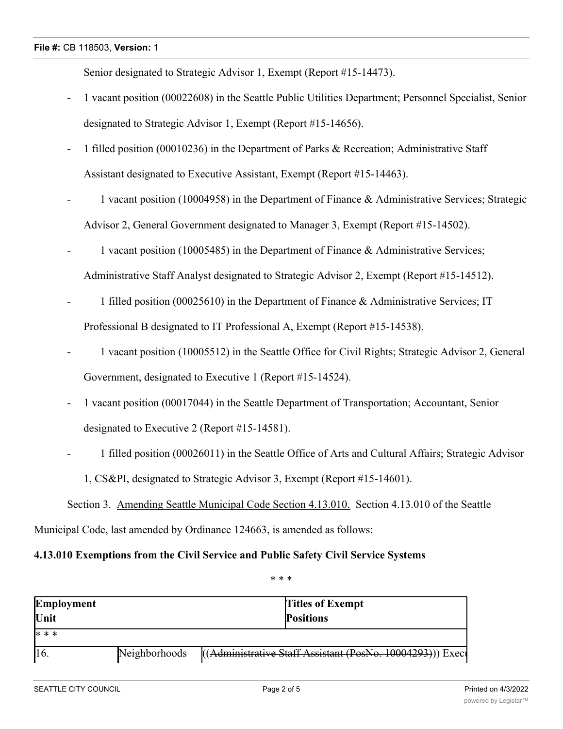## **File #:** CB 118503, **Version:** 1

Senior designated to Strategic Advisor 1, Exempt (Report #15-14473).

- 1 vacant position (00022608) in the Seattle Public Utilities Department; Personnel Specialist, Senior designated to Strategic Advisor 1, Exempt (Report #15-14656).
- 1 filled position (00010236) in the Department of Parks & Recreation; Administrative Staff Assistant designated to Executive Assistant, Exempt (Report #15-14463).
- 1 vacant position (10004958) in the Department of Finance & Administrative Services; Strategic Advisor 2, General Government designated to Manager 3, Exempt (Report #15-14502).
- 1 vacant position (10005485) in the Department of Finance  $\&$  Administrative Services; Administrative Staff Analyst designated to Strategic Advisor 2, Exempt (Report #15-14512).
- 1 filled position (00025610) in the Department of Finance & Administrative Services; IT Professional B designated to IT Professional A, Exempt (Report #15-14538).
- 1 vacant position (10005512) in the Seattle Office for Civil Rights; Strategic Advisor 2, General Government, designated to Executive 1 (Report #15-14524).
- 1 vacant position (00017044) in the Seattle Department of Transportation; Accountant, Senior designated to Executive 2 (Report #15-14581).
- 1 filled position (00026011) in the Seattle Office of Arts and Cultural Affairs; Strategic Advisor 1, CS&PI, designated to Strategic Advisor 3, Exempt (Report #15-14601).

Section 3. Amending Seattle Municipal Code Section 4.13.010. Section 4.13.010 of the Seattle Municipal Code, last amended by Ordinance 124663, is amended as follows:

## **4.13.010 Exemptions from the Civil Service and Public Safety Civil Service Systems**

\* \* \*

| Employment |               | <b>Titles of Exempt</b>                                   |
|------------|---------------|-----------------------------------------------------------|
| Unit       |               | <b>Positions</b>                                          |
| * * *      |               |                                                           |
| 16.        | Neighborhoods | ((Administrative Staff Assistant (PosNo. 10004293))) Exec |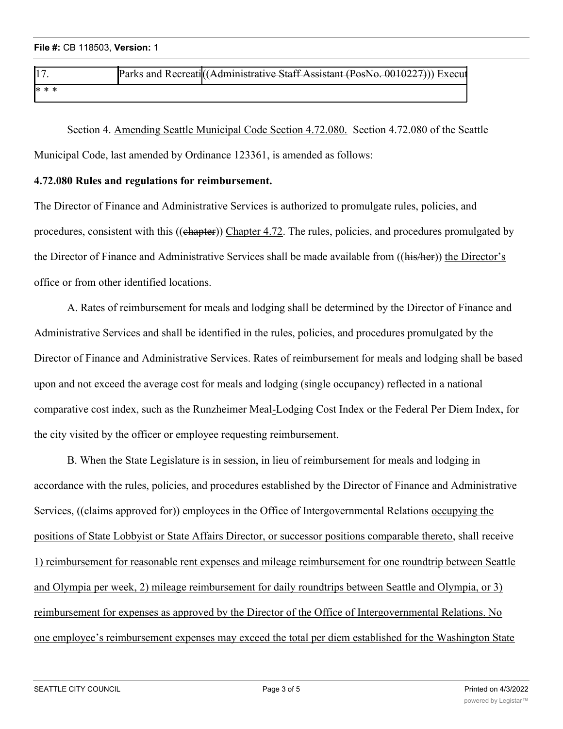| 17.   | - Recreatill<br>コレヘャレー<br>⊢ond<br>. посложни<br>- 61.1<br>. | Staff Assistant (PosNo. 001<br><b>Execut</b><br><del>Administrative</del><br>┱₩≈ |
|-------|-------------------------------------------------------------|----------------------------------------------------------------------------------|
| * * * |                                                             |                                                                                  |
|       |                                                             |                                                                                  |

Section 4. Amending Seattle Municipal Code Section 4.72.080. Section 4.72.080 of the Seattle Municipal Code, last amended by Ordinance 123361, is amended as follows:

## **4.72.080 Rules and regulations for reimbursement.**

The Director of Finance and Administrative Services is authorized to promulgate rules, policies, and procedures, consistent with this ((chapter)) Chapter 4.72. The rules, policies, and procedures promulgated by the Director of Finance and Administrative Services shall be made available from ((his/her)) the Director's office or from other identified locations.

A. Rates of reimbursement for meals and lodging shall be determined by the Director of Finance and Administrative Services and shall be identified in the rules, policies, and procedures promulgated by the Director of Finance and Administrative Services. Rates of reimbursement for meals and lodging shall be based upon and not exceed the average cost for meals and lodging (single occupancy) reflected in a national comparative cost index, such as the Runzheimer Meal-Lodging Cost Index or the Federal Per Diem Index, for the city visited by the officer or employee requesting reimbursement.

B. When the State Legislature is in session, in lieu of reimbursement for meals and lodging in accordance with the rules, policies, and procedures established by the Director of Finance and Administrative Services, ((claims approved for)) employees in the Office of Intergovernmental Relations occupying the positions of State Lobbyist or State Affairs Director, or successor positions comparable thereto, shall receive 1) reimbursement for reasonable rent expenses and mileage reimbursement for one roundtrip between Seattle and Olympia per week, 2) mileage reimbursement for daily roundtrips between Seattle and Olympia, or 3) reimbursement for expenses as approved by the Director of the Office of Intergovernmental Relations. No one employee's reimbursement expenses may exceed the total per diem established for the Washington State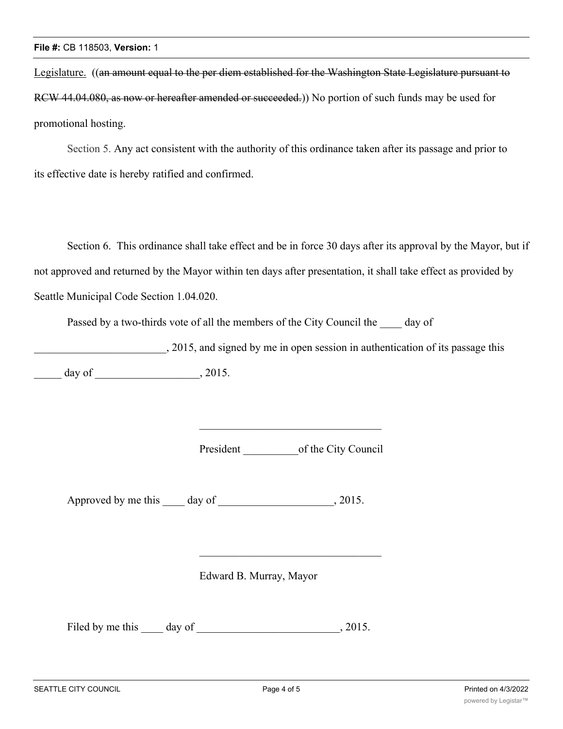Legislature. ((an amount equal to the per diem established for the Washington State Legislature pursuant to RCW 44.04.080, as now or hereafter amended or succeeded.)) No portion of such funds may be used for promotional hosting.

Section 5. Any act consistent with the authority of this ordinance taken after its passage and prior to its effective date is hereby ratified and confirmed.

Section 6. This ordinance shall take effect and be in force 30 days after its approval by the Mayor, but if not approved and returned by the Mayor within ten days after presentation, it shall take effect as provided by Seattle Municipal Code Section 1.04.020.

Passed by a two-thirds vote of all the members of the City Council the day of

\_\_\_\_\_\_\_\_\_\_\_\_\_\_\_\_\_\_\_\_\_\_\_\_, 2015, and signed by me in open session in authentication of its passage this  $\frac{1}{2015}$  day of  $\frac{1}{2015}$ 

President \_\_\_\_\_\_\_\_\_\_of the City Council

Approved by me this day of , 2015.

Edward B. Murray, Mayor

Filed by me this day of , 2015.